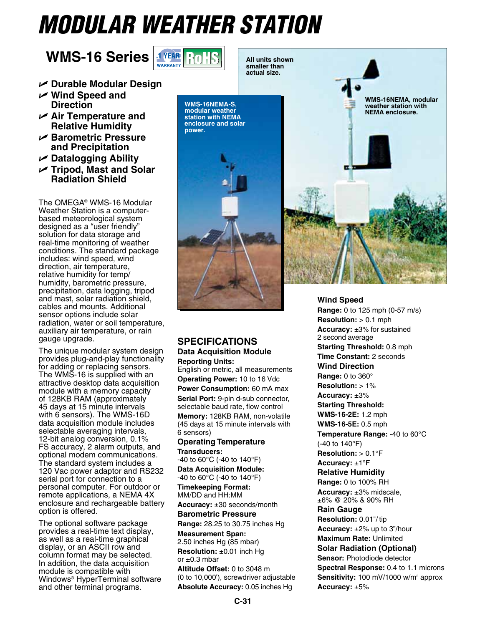## *Modular Weather Station*

## **WMS-16 Series**



**power.**

- U **Durable Modular Design**
- U **Wind Speed and Direction**
- U **Air Temperature and Relative Humidity**
- U **Barometric Pressure and Precipitation**
- U **Datalogging Ability**
- U **Tripod, Mast and Solar Radiation Shield**

The OMEGA® WMS-16 Modular Weather Station is a computerbased meteorological system designed as a "user friendly" solution for data storage and real-time monitoring of weather conditions. The standard package includes: wind speed, wind direction, air temperature, relative humidity for temp/ humidity, barometric pressure, precipitation, data logging, tripod and mast, solar radiation shield, cables and mounts. Additional sensor options include solar radiation, water or soil temperature, auxiliary air temperature, or rain gauge upgrade.

The unique modular system design provides plug-and-play functionality for adding or replacing sensors. The WMS-16 is supplied with an attractive desktop data acquisition module with a memory capacity of 128KB RAM (approximately 45 days at 15 minute intervals with 6 sensors). The WMS-16D data acquisition module includes selectable averaging intervals, 12-bit analog conversion, 0.1% FS accuracy, 2 alarm outputs, and optional modem communications. The standard system includes a 120 Vac power adaptor and RS232 serial port for connection to a personal computer. For outdoor or remote applications, a NEMA 4X enclosure and rechargeable battery option is offered.

The optional software package provides a real-time text display, as well as a real-time graphical display, or an ASCII row and column format may be selected. In addition, the data acquisition module is compatible with Windows® HyperTerminal software and other terminal programs.

**smaller than actual size. WMS-16NEMA-S, modular weather station with NEMA enclosure and solar** 



## **Wind Speed**

**Specifications Data Acquisition Module Reporting Units:**

English or metric, all measurements **Operating Power:** 10 to 16 Vdc **Power Consumption:** 60 mA max **Serial Port:** 9-pin d-sub connector, selectable baud rate, flow control **Memory:** 128KB RAM, non-volatile (45 days at 15 minute intervals with 6 sensors)

**Operating Temperature Transducers:**

-40 to 60°C (-40 to 140°F) **Data Acquisition Module:** -40 to 60°C (-40 to 140°F)

**Timekeeping Format:** MM/DD and HH:MM

**Accuracy:** ±30 seconds/month

**Barometric Pressure**

**Range:** 28.25 to 30.75 inches Hg **Measurement Span:**

2.50 inches Hg (85 mbar) **Resolution:** ±0.01 inch Hg or  $\pm 0.3$  mbar

**Altitude Offset:** 0 to 3048 m (0 to 10,000'), screwdriver adjustable **Absolute Accuracy:** 0.05 inches Hg

**Range:** 0 to 125 mph (0-57 m/s) **Resolution:** > 0.1 mph **Accuracy:** ±3% for sustained 2 second average **Starting Threshold:** 0.8 mph **Time Constant:** 2 seconds **Wind Direction Range:** 0 to 360° **Resolution:** > 1% **Accuracy:** ±3% **Starting Threshold: WMS-16-2E:** 1.2 mph **WMS-16-5E:** 0.5 mph **Temperature Range:** -40 to 60°C (-40 to 140°F) **Resolution:** > 0.1°F **Accuracy:** ±1°F **Relative Humidity Range:** 0 to 100% RH **Accuracy:** ±3% midscale, ±6% @ 20% & 90% RH **Rain Gauge Resolution:** 0.01"/ tip **Accuracy:** ±2% up to 3"/hour **Maximum Rate:** Unlimited **Solar Radiation (Optional) Sensor:** Photodiode detector **Spectral Response:** 0.4 to 1.1 microns Sensitivity: 100 mV/1000 w/m<sup>2</sup> approx **Accuracy:** ±5%